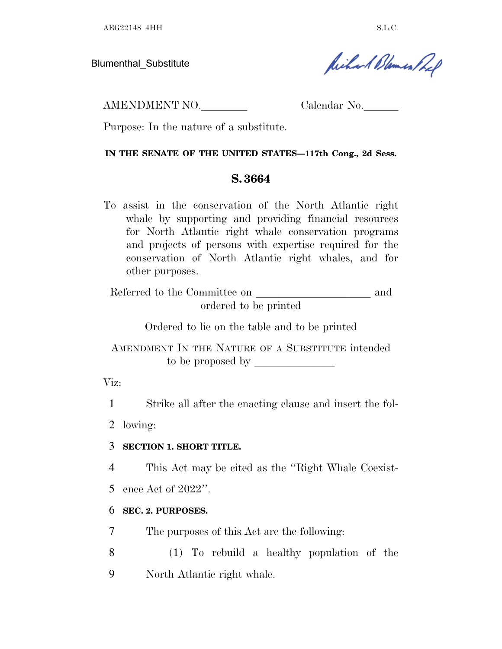AEG22148 4HH S.L.C.

Blumenthal\_Substitute

Richard Blemen Ref

AMENDMENT NO. Calendar No.

Purpose: In the nature of a substitute.

#### **IN THE SENATE OF THE UNITED STATES—117th Cong., 2d Sess.**

## **S. 3664**

To assist in the conservation of the North Atlantic right whale by supporting and providing financial resources for North Atlantic right whale conservation programs and projects of persons with expertise required for the conservation of North Atlantic right whales, and for other purposes.

Referred to the Committee on and ordered to be printed

Ordered to lie on the table and to be printed

AMENDMENT IN THE NATURE OF A SUBSTITUTE intended to be proposed by  $\_\_$ 

Viz:

1 Strike all after the enacting clause and insert the fol-

2 lowing:

## 3 **SECTION 1. SHORT TITLE.**

4 This Act may be cited as the ''Right Whale Coexist-

5 ence Act of 2022''.

## 6 **SEC. 2. PURPOSES.**

7 The purposes of this Act are the following:

8 (1) To rebuild a healthy population of the 9 North Atlantic right whale.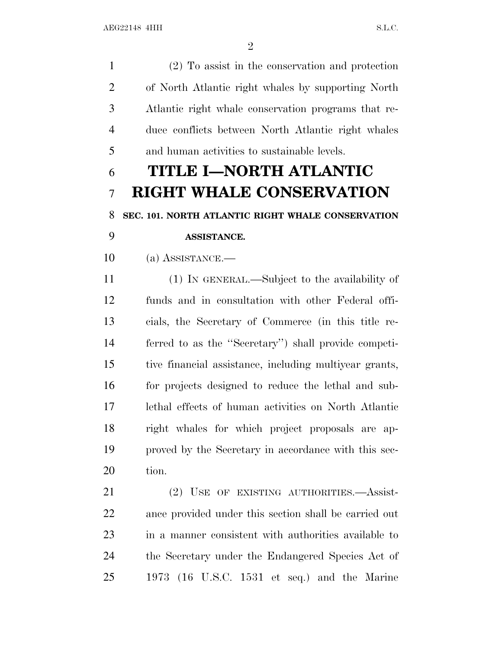(2) To assist in the conservation and protection of North Atlantic right whales by supporting North Atlantic right whale conservation programs that re- duce conflicts between North Atlantic right whales and human activities to sustainable levels. **TITLE I—NORTH ATLANTIC RIGHT WHALE CONSERVATION SEC. 101. NORTH ATLANTIC RIGHT WHALE CONSERVATION ASSISTANCE.** (a) ASSISTANCE.— (1) IN GENERAL.—Subject to the availability of funds and in consultation with other Federal offi- cials, the Secretary of Commerce (in this title re- ferred to as the ''Secretary'') shall provide competi- tive financial assistance, including multiyear grants, for projects designed to reduce the lethal and sub- lethal effects of human activities on North Atlantic right whales for which project proposals are ap- proved by the Secretary in accordance with this sec- tion. (2) USE OF EXISTING AUTHORITIES.—Assist- ance provided under this section shall be carried out in a manner consistent with authorities available to the Secretary under the Endangered Species Act of 1973 (16 U.S.C. 1531 et seq.) and the Marine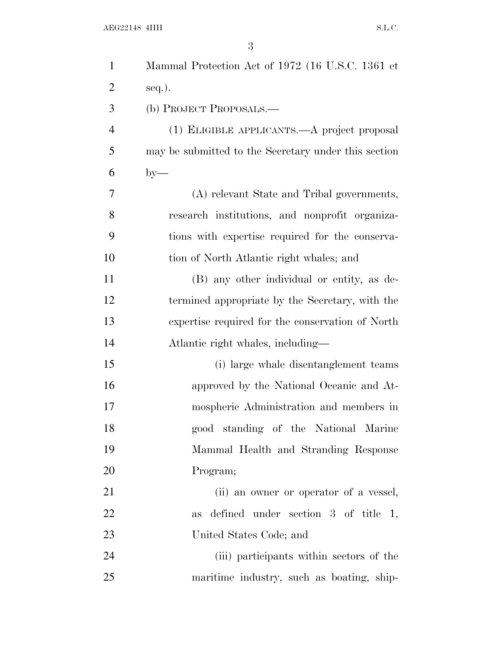| $\mathbf{1}$   | Mammal Protection Act of 1972 (16 U.S.C. 1361 et     |
|----------------|------------------------------------------------------|
| $\overline{2}$ | seq.).                                               |
| 3              | (b) PROJECT PROPOSALS.—                              |
| $\overline{4}$ | (1) ELIGIBLE APPLICANTS.—A project proposal          |
| 5              | may be submitted to the Secretary under this section |
| 6              | $by-$                                                |
| 7              | (A) relevant State and Tribal governments,           |
| 8              | research institutions, and nonprofit organiza-       |
| 9              | tions with expertise required for the conserva-      |
| 10             | tion of North Atlantic right whales; and             |
| 11             | (B) any other individual or entity, as de-           |
| 12             | termined appropriate by the Secretary, with the      |
| 13             | expertise required for the conservation of North     |
| 14             | Atlantic right whales, including—                    |
| 15             | (i) large whale disentanglement teams                |
| 16             | approved by the National Oceanic and At-             |
| 17             | mospheric Administration and members in              |
| 18             | good standing of the National Marine                 |
| 19             | Mammal Health and Stranding Response                 |
| 20             | Program;                                             |
| 21             | (ii) an owner or operator of a vessel,               |
| 22             | defined under section $3$ of title 1,<br>as          |
| 23             | United States Code; and                              |
| 24             | (iii) participants within sectors of the             |
| 25             | maritime industry, such as boating, ship-            |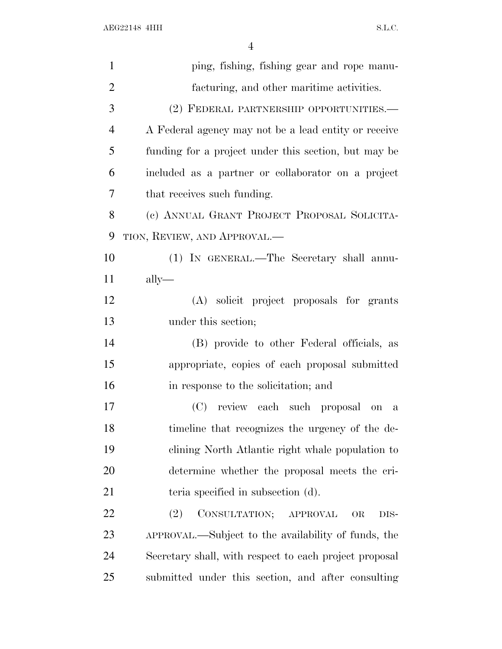| $\mathbf{1}$   | ping, fishing, fishing gear and rope manu-             |
|----------------|--------------------------------------------------------|
| $\overline{2}$ | facturing, and other maritime activities.              |
| 3              | (2) FEDERAL PARTNERSHIP OPPORTUNITIES.-                |
| $\overline{4}$ | A Federal agency may not be a lead entity or receive   |
| 5              | funding for a project under this section, but may be   |
| 6              | included as a partner or collaborator on a project     |
| 7              | that receives such funding.                            |
| 8              | (c) ANNUAL GRANT PROJECT PROPOSAL SOLICITA-            |
| 9              | TION, REVIEW, AND APPROVAL.—                           |
| 10             | (1) IN GENERAL.—The Secretary shall annu-              |
| 11             | $\text{ally}$ —                                        |
| 12             | (A) solicit project proposals for grants               |
| 13             | under this section;                                    |
| 14             | (B) provide to other Federal officials, as             |
| 15             | appropriate, copies of each proposal submitted         |
| 16             | in response to the solicitation; and                   |
| 17             | (C) review each such proposal on<br>$\mathbf{a}$       |
| 18             | timeline that recognizes the urgency of the de-        |
| 19             | clining North Atlantic right whale population to       |
| 20             | determine whether the proposal meets the cri-          |
| 21             | teria specified in subsection (d).                     |
| 22             | CONSULTATION; APPROVAL<br>(2)<br>OR<br>DIS-            |
| 23             | APPROVAL.—Subject to the availability of funds, the    |
| 24             | Secretary shall, with respect to each project proposal |
| 25             | submitted under this section, and after consulting     |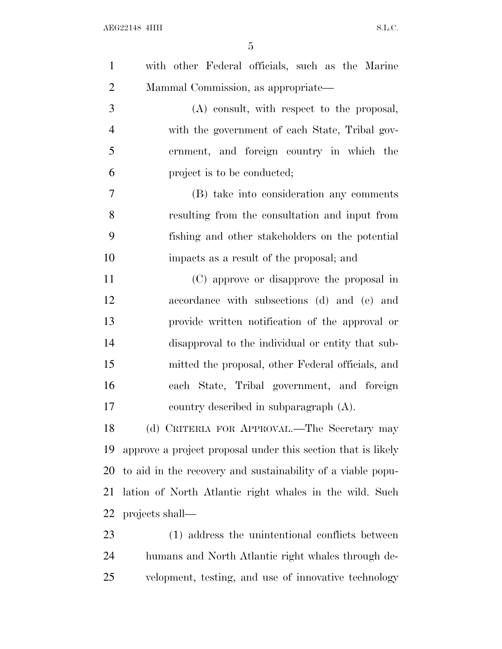| $\mathbf{1}$   | with other Federal officials, such as the Marine             |
|----------------|--------------------------------------------------------------|
| $\overline{2}$ | Mammal Commission, as appropriate—                           |
| 3              | (A) consult, with respect to the proposal,                   |
| $\overline{4}$ | with the government of each State, Tribal gov-               |
| 5              | ernment, and foreign country in which the                    |
| 6              | project is to be conducted;                                  |
| 7              | (B) take into consideration any comments                     |
| 8              | resulting from the consultation and input from               |
| 9              | fishing and other stakeholders on the potential              |
| 10             | impacts as a result of the proposal; and                     |
| 11             | (C) approve or disapprove the proposal in                    |
| 12             | accordance with subsections (d) and (e) and                  |
| 13             | provide written notification of the approval or              |
| 14             | disapproval to the individual or entity that sub-            |
| 15             | mitted the proposal, other Federal officials, and            |
| 16             | each State, Tribal government, and foreign                   |
| 17             | country described in subparagraph (A).                       |
| 18             | (d) CRITERIA FOR APPROVAL.—The Secretary may                 |
| 19             | approve a project proposal under this section that is likely |
| 20             | to aid in the recovery and sustainability of a viable popu-  |
| 21             | lation of North Atlantic right whales in the wild. Such      |
| 22             | projects shall—                                              |
| 23             | (1) address the unintentional conflicts between              |
| 24             | humans and North Atlantic right whales through de-           |
| 25             | velopment, testing, and use of innovative technology         |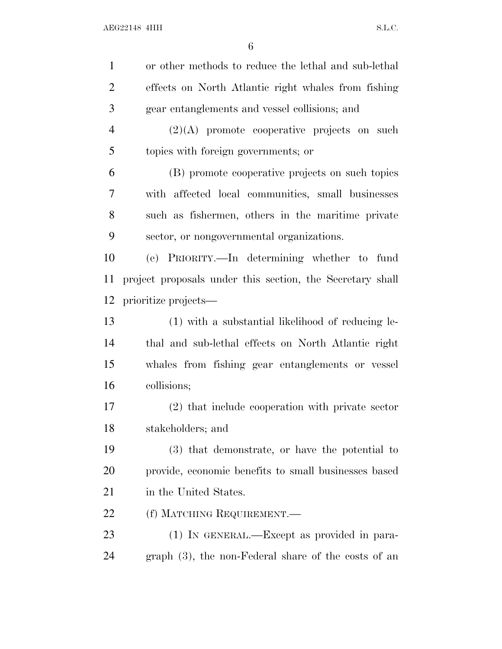| $\mathbf{1}$   | or other methods to reduce the lethal and sub-lethal      |
|----------------|-----------------------------------------------------------|
|                |                                                           |
| $\overline{2}$ | effects on North Atlantic right whales from fishing       |
| 3              | gear entanglements and vessel collisions; and             |
| $\overline{4}$ | $(2)(A)$ promote cooperative projects on such             |
| 5              | topics with foreign governments; or                       |
| 6              | (B) promote cooperative projects on such topics           |
| 7              | with affected local communities, small businesses         |
| 8              | such as fishermen, others in the maritime private         |
| 9              | sector, or nongovernmental organizations.                 |
| 10             | (e) PRIORITY.—In determining whether to fund              |
| 11             | project proposals under this section, the Secretary shall |
| 12             | prioritize projects—                                      |
| 13             | (1) with a substantial likelihood of reducing le-         |
| 14             | thal and sub-lethal effects on North Atlantic right       |
| 15             | whales from fishing gear entanglements or vessel          |
| 16             | collisions;                                               |
| 17             | (2) that include cooperation with private sector          |
| 18             | stakeholders; and                                         |
| 19             | (3) that demonstrate, or have the potential to            |
| 20             | provide, economic benefits to small businesses based      |
| 21             | in the United States.                                     |
| <u>22</u>      | (f) MATCHING REQUIREMENT.                                 |
| 23             | (1) IN GENERAL.—Except as provided in para-               |
| 24             | $graph(3)$ , the non-Federal share of the costs of an     |
|                |                                                           |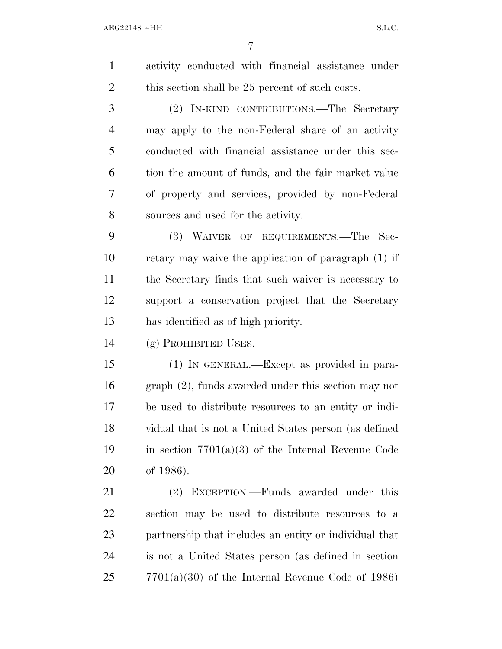activity conducted with financial assistance under 2 this section shall be 25 percent of such costs. (2) IN-KIND CONTRIBUTIONS.—The Secretary may apply to the non-Federal share of an activity conducted with financial assistance under this sec- tion the amount of funds, and the fair market value of property and services, provided by non-Federal sources and used for the activity. (3) WAIVER OF REQUIREMENTS.—The Sec- retary may waive the application of paragraph (1) if the Secretary finds that such waiver is necessary to support a conservation project that the Secretary has identified as of high priority. (g) PROHIBITED USES.— (1) IN GENERAL.—Except as provided in para- graph (2), funds awarded under this section may not be used to distribute resources to an entity or indi- vidual that is not a United States person (as defined 19 in section  $7701(a)(3)$  of the Internal Revenue Code of 1986). (2) EXCEPTION.—Funds awarded under this section may be used to distribute resources to a partnership that includes an entity or individual that is not a United States person (as defined in section 7701(a)(30) of the Internal Revenue Code of 1986)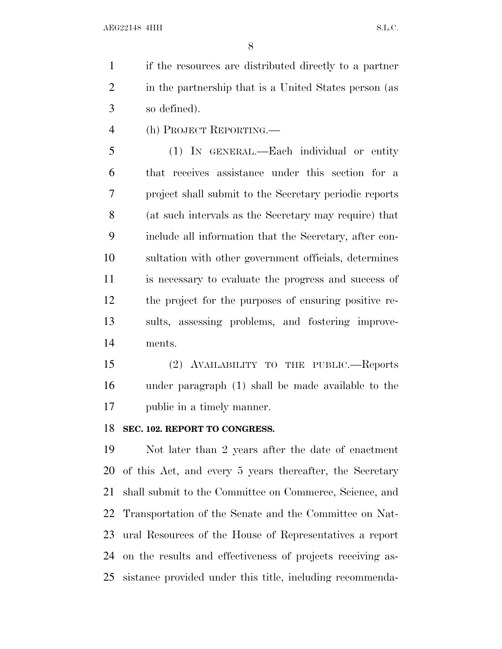if the resources are distributed directly to a partner in the partnership that is a United States person (as so defined).

(h) PROJECT REPORTING.—

 (1) IN GENERAL.—Each individual or entity that receives assistance under this section for a project shall submit to the Secretary periodic reports (at such intervals as the Secretary may require) that include all information that the Secretary, after con- sultation with other government officials, determines is necessary to evaluate the progress and success of the project for the purposes of ensuring positive re- sults, assessing problems, and fostering improve-ments.

 (2) AVAILABILITY TO THE PUBLIC.—Reports under paragraph (1) shall be made available to the public in a timely manner.

#### **SEC. 102. REPORT TO CONGRESS.**

 Not later than 2 years after the date of enactment of this Act, and every 5 years thereafter, the Secretary shall submit to the Committee on Commerce, Science, and Transportation of the Senate and the Committee on Nat- ural Resources of the House of Representatives a report on the results and effectiveness of projects receiving as-sistance provided under this title, including recommenda-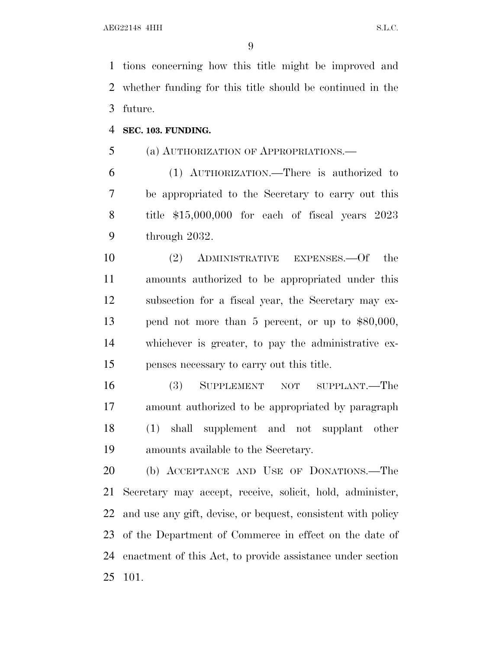tions concerning how this title might be improved and whether funding for this title should be continued in the future.

**SEC. 103. FUNDING.**

(a) AUTHORIZATION OF APPROPRIATIONS.—

 (1) AUTHORIZATION.—There is authorized to be appropriated to the Secretary to carry out this title \$15,000,000 for each of fiscal years 2023 through 2032.

 (2) ADMINISTRATIVE EXPENSES.—Of the amounts authorized to be appropriated under this subsection for a fiscal year, the Secretary may ex- pend not more than 5 percent, or up to \$80,000, whichever is greater, to pay the administrative ex-penses necessary to carry out this title.

 (3) SUPPLEMENT NOT SUPPLANT.—The amount authorized to be appropriated by paragraph (1) shall supplement and not supplant other amounts available to the Secretary.

 (b) ACCEPTANCE AND USE OF DONATIONS.—The Secretary may accept, receive, solicit, hold, administer, and use any gift, devise, or bequest, consistent with policy of the Department of Commerce in effect on the date of enactment of this Act, to provide assistance under section 101.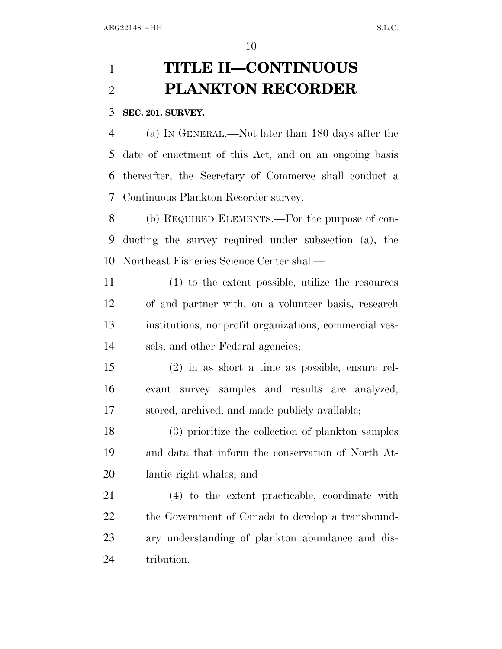# **TITLE II—CONTINUOUS PLANKTON RECORDER**

#### **SEC. 201. SURVEY.**

 (a) I<sup>N</sup> GENERAL.—Not later than 180 days after the date of enactment of this Act, and on an ongoing basis thereafter, the Secretary of Commerce shall conduct a Continuous Plankton Recorder survey.

 (b) REQUIRED ELEMENTS.—For the purpose of con- ducting the survey required under subsection (a), the Northeast Fisheries Science Center shall—

 (1) to the extent possible, utilize the resources of and partner with, on a volunteer basis, research institutions, nonprofit organizations, commercial ves-sels, and other Federal agencies;

 (2) in as short a time as possible, ensure rel- evant survey samples and results are analyzed, stored, archived, and made publicly available;

 (3) prioritize the collection of plankton samples and data that inform the conservation of North At-lantic right whales; and

 (4) to the extent practicable, coordinate with the Government of Canada to develop a transbound- ary understanding of plankton abundance and dis-tribution.